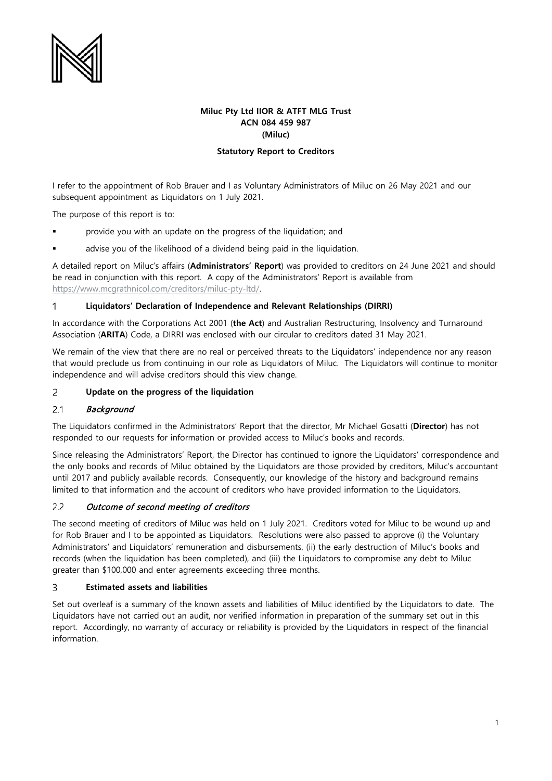

# **Miluc Pty Ltd IIOR & ATFT MLG Trust ACN 084 459 987 (Miluc)**

# **Statutory Report to Creditors**

I refer to the appointment of Rob Brauer and I as Voluntary Administrators of Miluc on 26 May 2021 and our subsequent appointment as Liquidators on 1 July 2021.

The purpose of this report is to:

- provide you with an update on the progress of the liquidation; and
- advise you of the likelihood of a dividend being paid in the liquidation.

A detailed report on Miluc's affairs (**Administrators' Report**) was provided to creditors on 24 June 2021 and should be read in conjunction with this report. A copy of the Administrators' Report is available from [https://www.mcgrathnicol.com/creditors/miluc-pty-ltd/.](https://www.mcgrathnicol.com/creditors/miluc-pty-ltd/) 

#### **Liquidators' Declaration of Independence and Relevant Relationships (DIRRI)**  $\mathbf{1}$

In accordance with the Corporations Act 2001 (**the Act**) and Australian Restructuring, Insolvency and Turnaround Association (**ARITA**) Code, a DIRRI was enclosed with our circular to creditors dated 31 May 2021.

We remain of the view that there are no real or perceived threats to the Liquidators' independence nor any reason that would preclude us from continuing in our role as Liquidators of Miluc. The Liquidators will continue to monitor independence and will advise creditors should this view change.

### $\overline{c}$ **Update on the progress of the liquidation**

#### $2.1$ **Background**

The Liquidators confirmed in the Administrators' Report that the director, Mr Michael Gosatti (**Director**) has not responded to our requests for information or provided access to Miluc's books and records.

Since releasing the Administrators' Report, the Director has continued to ignore the Liquidators' correspondence and the only books and records of Miluc obtained by the Liquidators are those provided by creditors, Miluc's accountant until 2017 and publicly available records. Consequently, our knowledge of the history and background remains limited to that information and the account of creditors who have provided information to the Liquidators.

### $2.2$ Outcome of second meeting of creditors

The second meeting of creditors of Miluc was held on 1 July 2021. Creditors voted for Miluc to be wound up and for Rob Brauer and I to be appointed as Liquidators. Resolutions were also passed to approve (i) the Voluntary Administrators' and Liquidators' remuneration and disbursements, (ii) the early destruction of Miluc's books and records (when the liquidation has been completed), and (iii) the Liquidators to compromise any debt to Miluc greater than \$100,000 and enter agreements exceeding three months.

### 3 **Estimated assets and liabilities**

Set out overleaf is a summary of the known assets and liabilities of Miluc identified by the Liquidators to date. The Liquidators have not carried out an audit, nor verified information in preparation of the summary set out in this report. Accordingly, no warranty of accuracy or reliability is provided by the Liquidators in respect of the financial information.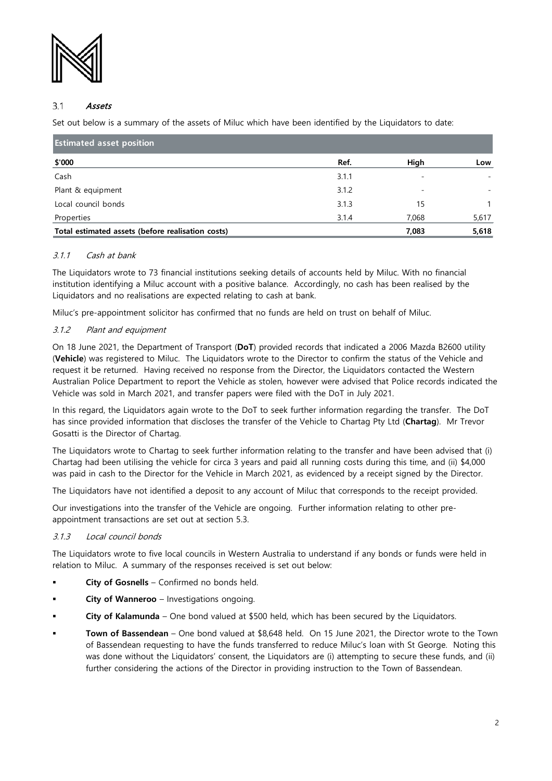

### $3.1$ Assets

Set out below is a summary of the assets of Miluc which have been identified by the Liquidators to date:

| <b>Estimated asset position</b>                   |       |       |       |
|---------------------------------------------------|-------|-------|-------|
| \$'000                                            | Ref.  | High  | Low   |
| Cash                                              | 3.1.1 |       |       |
| Plant & equipment                                 | 3.1.2 |       |       |
| Local council bonds                               | 3.1.3 | 15    |       |
| Properties                                        | 3.1.4 | 7,068 | 5,617 |
| Total estimated assets (before realisation costs) |       | 7,083 | 5,618 |

# 3.1.1 Cash at bank

The Liquidators wrote to 73 financial institutions seeking details of accounts held by Miluc. With no financial institution identifying a Miluc account with a positive balance. Accordingly, no cash has been realised by the Liquidators and no realisations are expected relating to cash at bank.

Miluc's pre-appointment solicitor has confirmed that no funds are held on trust on behalf of Miluc.

# <span id="page-1-0"></span>3.1.2 Plant and equipment

On 18 June 2021, the Department of Transport (**DoT**) provided records that indicated a 2006 Mazda B2600 utility (**Vehicle**) was registered to Miluc. The Liquidators wrote to the Director to confirm the status of the Vehicle and request it be returned. Having received no response from the Director, the Liquidators contacted the Western Australian Police Department to report the Vehicle as stolen, however were advised that Police records indicated the Vehicle was sold in March 2021, and transfer papers were filed with the DoT in July 2021.

In this regard, the Liquidators again wrote to the DoT to seek further information regarding the transfer. The DoT has since provided information that discloses the transfer of the Vehicle to Chartag Pty Ltd (**Chartag**). Mr Trevor Gosatti is the Director of Chartag.

The Liquidators wrote to Chartag to seek further information relating to the transfer and have been advised that (i) Chartag had been utilising the vehicle for circa 3 years and paid all running costs during this time, and (ii) \$4,000 was paid in cash to the Director for the Vehicle in March 2021, as evidenced by a receipt signed by the Director.

The Liquidators have not identified a deposit to any account of Miluc that corresponds to the receipt provided.

Our investigations into the transfer of the Vehicle are ongoing. Further information relating to other preappointment transactions are set out at section [5.3.](#page-9-0)

## 3.1.3 Local council bonds

The Liquidators wrote to five local councils in Western Australia to understand if any bonds or funds were held in relation to Miluc. A summary of the responses received is set out below:

- **City of Gosnells**  Confirmed no bonds held.
- **City of Wanneroo**  Investigations ongoing.
- **City of Kalamunda**  One bond valued at \$500 held, which has been secured by the Liquidators.
- **Town of Bassendean**  One bond valued at \$8,648 held. On 15 June 2021, the Director wrote to the Town of Bassendean requesting to have the funds transferred to reduce Miluc's loan with St George. Noting this was done without the Liquidators' consent, the Liquidators are (i) attempting to secure these funds, and (ii) further considering the actions of the Director in providing instruction to the Town of Bassendean.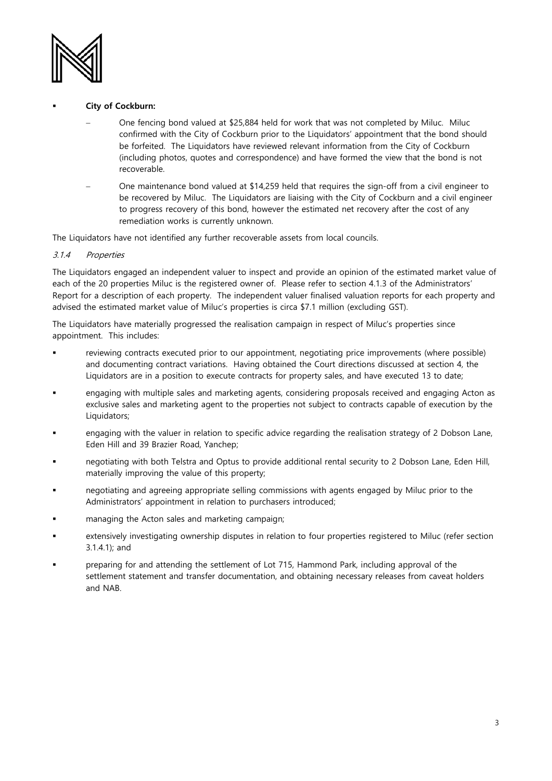

- **City of Cockburn:**
	- − One fencing bond valued at \$25,884 held for work that was not completed by Miluc. Miluc confirmed with the City of Cockburn prior to the Liquidators' appointment that the bond should be forfeited. The Liquidators have reviewed relevant information from the City of Cockburn (including photos, quotes and correspondence) and have formed the view that the bond is not recoverable.
	- − One maintenance bond valued at \$14,259 held that requires the sign-off from a civil engineer to be recovered by Miluc. The Liquidators are liaising with the City of Cockburn and a civil engineer to progress recovery of this bond, however the estimated net recovery after the cost of any remediation works is currently unknown.

The Liquidators have not identified any further recoverable assets from local councils.

# <span id="page-2-0"></span>3.1.4 Properties

The Liquidators engaged an independent valuer to inspect and provide an opinion of the estimated market value of each of the 20 properties Miluc is the registered owner of. Please refer to section 4.1.3 of the Administrators' Report for a description of each property. The independent valuer finalised valuation reports for each property and advised the estimated market value of Miluc's properties is circa \$7.1 million (excluding GST).

The Liquidators have materially progressed the realisation campaign in respect of Miluc's properties since appointment. This includes:

- reviewing contracts executed prior to our appointment, negotiating price improvements (where possible) and documenting contract variations. Having obtained the Court directions discussed at section [4,](#page-5-0) the Liquidators are in a position to execute contracts for property sales, and have executed 13 to date;
- engaging with multiple sales and marketing agents, considering proposals received and engaging Acton as exclusive sales and marketing agent to the properties not subject to contracts capable of execution by the Liquidators;
- engaging with the valuer in relation to specific advice regarding the realisation strategy of 2 Dobson Lane, Eden Hill and 39 Brazier Road, Yanchep;
- negotiating with both Telstra and Optus to provide additional rental security to 2 Dobson Lane, Eden Hill, materially improving the value of this property;
- negotiating and agreeing appropriate selling commissions with agents engaged by Miluc prior to the Administrators' appointment in relation to purchasers introduced;
- managing the Acton sales and marketing campaign;
- extensively investigating ownership disputes in relation to four properties registered to Miluc (refer section [3.1.4.1\)](#page-3-0); and
- preparing for and attending the settlement of Lot 715, Hammond Park, including approval of the settlement statement and transfer documentation, and obtaining necessary releases from caveat holders and NAB.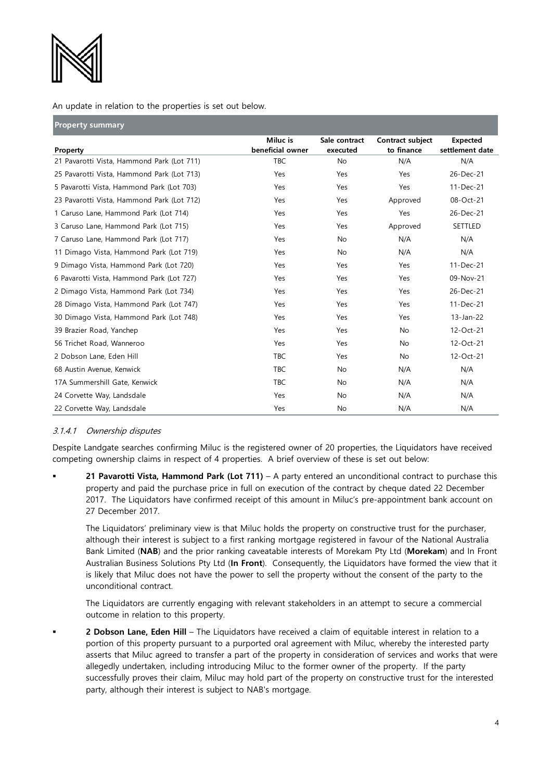

An update in relation to the properties is set out below.

| <b>Property summary</b>                    |                              |                           |                                |                                    |
|--------------------------------------------|------------------------------|---------------------------|--------------------------------|------------------------------------|
| Property                                   | Miluc is<br>beneficial owner | Sale contract<br>executed | Contract subject<br>to finance | <b>Expected</b><br>settlement date |
| 21 Pavarotti Vista, Hammond Park (Lot 711) | <b>TBC</b>                   | <b>No</b>                 | N/A                            | N/A                                |
| 25 Pavarotti Vista, Hammond Park (Lot 713) | Yes                          | Yes                       | Yes                            | 26-Dec-21                          |
| 5 Pavarotti Vista, Hammond Park (Lot 703)  | Yes                          | Yes                       | Yes                            | 11-Dec-21                          |
| 23 Pavarotti Vista, Hammond Park (Lot 712) | Yes                          | Yes                       | Approved                       | 08-Oct-21                          |
| 1 Caruso Lane, Hammond Park (Lot 714)      | Yes                          | Yes                       | Yes                            | 26-Dec-21                          |
| 3 Caruso Lane, Hammond Park (Lot 715)      | Yes                          | Yes                       | Approved                       | SETTLED                            |
| 7 Caruso Lane, Hammond Park (Lot 717)      | Yes                          | No                        | N/A                            | N/A                                |
| 11 Dimago Vista, Hammond Park (Lot 719)    | Yes                          | <b>No</b>                 | N/A                            | N/A                                |
| 9 Dimago Vista, Hammond Park (Lot 720)     | Yes                          | Yes                       | Yes                            | 11-Dec-21                          |
| 6 Pavarotti Vista, Hammond Park (Lot 727)  | Yes                          | Yes                       | Yes                            | 09-Nov-21                          |
| 2 Dimago Vista, Hammond Park (Lot 734)     | Yes                          | Yes                       | Yes                            | 26-Dec-21                          |
| 28 Dimago Vista, Hammond Park (Lot 747)    | Yes                          | Yes                       | Yes                            | 11-Dec-21                          |
| 30 Dimago Vista, Hammond Park (Lot 748)    | Yes                          | Yes                       | Yes                            | $13$ -Jan-22                       |
| 39 Brazier Road, Yanchep                   | Yes                          | Yes                       | <b>No</b>                      | 12-Oct-21                          |
| 56 Trichet Road, Wanneroo                  | Yes                          | Yes                       | <b>No</b>                      | 12-Oct-21                          |
| 2 Dobson Lane, Eden Hill                   | <b>TBC</b>                   | Yes                       | <b>No</b>                      | 12-Oct-21                          |
| 68 Austin Avenue, Kenwick                  | <b>TBC</b>                   | No                        | N/A                            | N/A                                |
| 17A Summershill Gate, Kenwick              | <b>TBC</b>                   | <b>No</b>                 | N/A                            | N/A                                |
| 24 Corvette Way, Landsdale                 | Yes                          | No                        | N/A                            | N/A                                |
| 22 Corvette Way, Landsdale                 | Yes                          | No                        | N/A                            | N/A                                |

# <span id="page-3-0"></span>3.1.4.1 Ownership disputes

Despite Landgate searches confirming Miluc is the registered owner of 20 properties, the Liquidators have received competing ownership claims in respect of 4 properties. A brief overview of these is set out below:

 **21 Pavarotti Vista, Hammond Park (Lot 711)** – A party entered an unconditional contract to purchase this property and paid the purchase price in full on execution of the contract by cheque dated 22 December 2017. The Liquidators have confirmed receipt of this amount in Miluc's pre-appointment bank account on 27 December 2017.

The Liquidators' preliminary view is that Miluc holds the property on constructive trust for the purchaser, although their interest is subject to a first ranking mortgage registered in favour of the National Australia Bank Limited (**NAB**) and the prior ranking caveatable interests of Morekam Pty Ltd (**Morekam**) and In Front Australian Business Solutions Pty Ltd (**In Front**). Consequently, the Liquidators have formed the view that it is likely that Miluc does not have the power to sell the property without the consent of the party to the unconditional contract.

The Liquidators are currently engaging with relevant stakeholders in an attempt to secure a commercial outcome in relation to this property.

 **2 Dobson Lane, Eden Hill** – The Liquidators have received a claim of equitable interest in relation to a portion of this property pursuant to a purported oral agreement with Miluc, whereby the interested party asserts that Miluc agreed to transfer a part of the property in consideration of services and works that were allegedly undertaken, including introducing Miluc to the former owner of the property. If the party successfully proves their claim, Miluc may hold part of the property on constructive trust for the interested party, although their interest is subject to NAB's mortgage.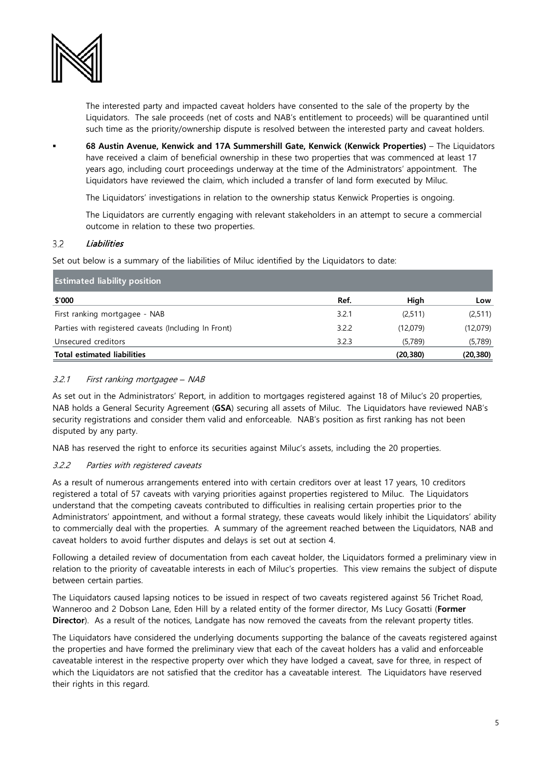

The interested party and impacted caveat holders have consented to the sale of the property by the Liquidators. The sale proceeds (net of costs and NAB's entitlement to proceeds) will be quarantined until such time as the priority/ownership dispute is resolved between the interested party and caveat holders.

 **68 Austin Avenue, Kenwick and 17A Summershill Gate, Kenwick (Kenwick Properties)** – The Liquidators have received a claim of beneficial ownership in these two properties that was commenced at least 17 years ago, including court proceedings underway at the time of the Administrators' appointment. The Liquidators have reviewed the claim, which included a transfer of land form executed by Miluc.

The Liquidators' investigations in relation to the ownership status Kenwick Properties is ongoing.

The Liquidators are currently engaging with relevant stakeholders in an attempt to secure a commercial outcome in relation to these two properties.

### $3.2$ **Liabilities**

Set out below is a summary of the liabilities of Miluc identified by the Liquidators to date:

| <b>Estimated liability position</b>                  |       |           |           |
|------------------------------------------------------|-------|-----------|-----------|
| \$'000                                               | Ref.  | High      | Low       |
| First ranking mortgagee - NAB                        | 3.2.1 | (2,511)   | (2,511)   |
| Parties with registered caveats (Including In Front) | 3.2.2 | (12,079)  | (12,079)  |
| Unsecured creditors                                  | 3.2.3 | (5,789)   | (5,789)   |
| <b>Total estimated liabilities</b>                   |       | (20, 380) | (20, 380) |

## 3.2.1 First ranking mortgagee *–* NAB

As set out in the Administrators' Report, in addition to mortgages registered against 18 of Miluc's 20 properties, NAB holds a General Security Agreement (**GSA**) securing all assets of Miluc. The Liquidators have reviewed NAB's security registrations and consider them valid and enforceable. NAB's position as first ranking has not been disputed by any party.

NAB has reserved the right to enforce its securities against Miluc's assets, including the 20 properties.

## <span id="page-4-0"></span>3.2.2 Parties with registered caveats

As a result of numerous arrangements entered into with certain creditors over at least 17 years, 10 creditors registered a total of 57 caveats with varying priorities against properties registered to Miluc. The Liquidators understand that the competing caveats contributed to difficulties in realising certain properties prior to the Administrators' appointment, and without a formal strategy, these caveats would likely inhibit the Liquidators' ability to commercially deal with the properties. A summary of the agreement reached between the Liquidators, NAB and caveat holders to avoid further disputes and delays is set out at section [4.](#page-5-0) 

Following a detailed review of documentation from each caveat holder, the Liquidators formed a preliminary view in relation to the priority of caveatable interests in each of Miluc's properties. This view remains the subject of dispute between certain parties.

The Liquidators caused lapsing notices to be issued in respect of two caveats registered against 56 Trichet Road, Wanneroo and 2 Dobson Lane, Eden Hill by a related entity of the former director, Ms Lucy Gosatti (**Former Director**). As a result of the notices, Landgate has now removed the caveats from the relevant property titles.

The Liquidators have considered the underlying documents supporting the balance of the caveats registered against the properties and have formed the preliminary view that each of the caveat holders has a valid and enforceable caveatable interest in the respective property over which they have lodged a caveat, save for three, in respect of which the Liquidators are not satisfied that the creditor has a caveatable interest. The Liquidators have reserved their rights in this regard.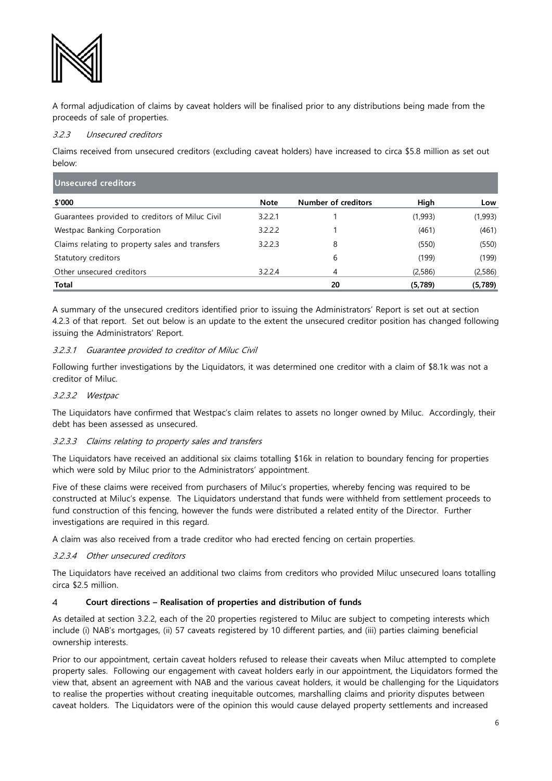

A formal adjudication of claims by caveat holders will be finalised prior to any distributions being made from the proceeds of sale of properties.

# 3.2.3 Unsecured creditors

Claims received from unsecured creditors (excluding caveat holders) have increased to circa \$5.8 million as set out below:

| Unsecured creditors                             |             |                            |         |         |
|-------------------------------------------------|-------------|----------------------------|---------|---------|
| \$'000                                          | <b>Note</b> | <b>Number of creditors</b> | High    | Low     |
| Guarantees provided to creditors of Miluc Civil | 3.2.2.1     |                            | (1,993) | (1,993) |
| Westpac Banking Corporation                     | 3.2.2.2     |                            | (461)   | (461)   |
| Claims relating to property sales and transfers | 3.2.2.3     | 8                          | (550)   | (550)   |
| Statutory creditors                             |             | 6                          | (199)   | (199)   |
| Other unsecured creditors                       | 3.2.2.4     | 4                          | (2,586) | (2,586) |
| <b>Total</b>                                    |             | 20                         | (5,789) | (5,789) |

A summary of the unsecured creditors identified prior to issuing the Administrators' Report is set out at section 4.2.3 of that report. Set out below is an update to the extent the unsecured creditor position has changed following issuing the Administrators' Report.

# 3.2.3.1 Guarantee provided to creditor of Miluc Civil

Following further investigations by the Liquidators, it was determined one creditor with a claim of \$8.1k was not a creditor of Miluc.

## 3.2.3.2 Westpac

The Liquidators have confirmed that Westpac's claim relates to assets no longer owned by Miluc. Accordingly, their debt has been assessed as unsecured.

## 3.2.3.3 Claims relating to property sales and transfers

The Liquidators have received an additional six claims totalling \$16k in relation to boundary fencing for properties which were sold by Miluc prior to the Administrators' appointment.

Five of these claims were received from purchasers of Miluc's properties, whereby fencing was required to be constructed at Miluc's expense. The Liquidators understand that funds were withheld from settlement proceeds to fund construction of this fencing, however the funds were distributed a related entity of the Director. Further investigations are required in this regard.

A claim was also received from a trade creditor who had erected fencing on certain properties.

# 3.2.3.4 Other unsecured creditors

The Liquidators have received an additional two claims from creditors who provided Miluc unsecured loans totalling circa \$2.5 million.

### <span id="page-5-0"></span> $\overline{\mathcal{A}}$ **Court directions – Realisation of properties and distribution of funds**

As detailed at section [3.2.2,](#page-4-0) each of the 20 properties registered to Miluc are subject to competing interests which include (i) NAB's mortgages, (ii) 57 caveats registered by 10 different parties, and (iii) parties claiming beneficial ownership interests.

Prior to our appointment, certain caveat holders refused to release their caveats when Miluc attempted to complete property sales. Following our engagement with caveat holders early in our appointment, the Liquidators formed the view that, absent an agreement with NAB and the various caveat holders, it would be challenging for the Liquidators to realise the properties without creating inequitable outcomes, marshalling claims and priority disputes between caveat holders. The Liquidators were of the opinion this would cause delayed property settlements and increased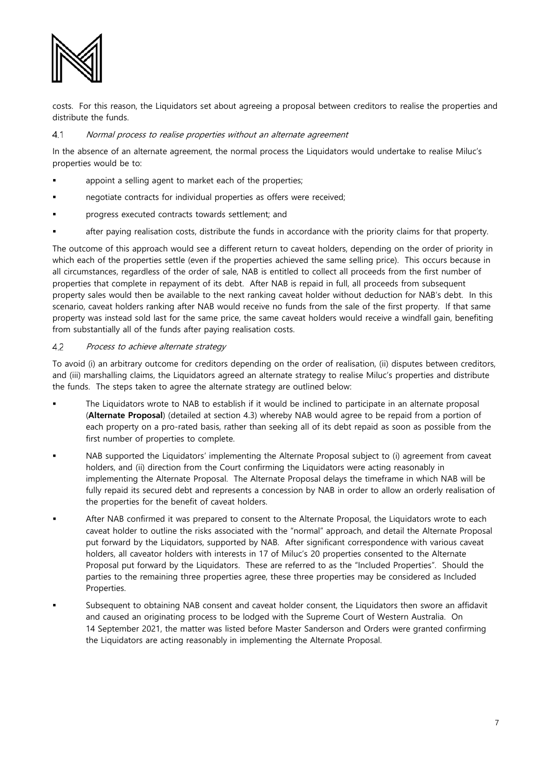

costs. For this reason, the Liquidators set about agreeing a proposal between creditors to realise the properties and distribute the funds.

#### $4.1$ Normal process to realise properties without an alternate agreement

In the absence of an alternate agreement, the normal process the Liquidators would undertake to realise Miluc's properties would be to:

- appoint a selling agent to market each of the properties;
- negotiate contracts for individual properties as offers were received;
- progress executed contracts towards settlement; and
- after paying realisation costs, distribute the funds in accordance with the priority claims for that property.

The outcome of this approach would see a different return to caveat holders, depending on the order of priority in which each of the properties settle (even if the properties achieved the same selling price). This occurs because in all circumstances, regardless of the order of sale, NAB is entitled to collect all proceeds from the first number of properties that complete in repayment of its debt. After NAB is repaid in full, all proceeds from subsequent property sales would then be available to the next ranking caveat holder without deduction for NAB's debt. In this scenario, caveat holders ranking after NAB would receive no funds from the sale of the first property. If that same property was instead sold last for the same price, the same caveat holders would receive a windfall gain, benefiting from substantially all of the funds after paying realisation costs.

#### 4.2 Process to achieve alternate strategy

To avoid (i) an arbitrary outcome for creditors depending on the order of realisation, (ii) disputes between creditors, and (iii) marshalling claims, the Liquidators agreed an alternate strategy to realise Miluc's properties and distribute the funds. The steps taken to agree the alternate strategy are outlined below:

- The Liquidators wrote to NAB to establish if it would be inclined to participate in an alternate proposal (**Alternate Proposal**) (detailed at section [4.3\)](#page-7-0) whereby NAB would agree to be repaid from a portion of each property on a pro-rated basis, rather than seeking all of its debt repaid as soon as possible from the first number of properties to complete.
- NAB supported the Liquidators' implementing the Alternate Proposal subject to (i) agreement from caveat holders, and (ii) direction from the Court confirming the Liquidators were acting reasonably in implementing the Alternate Proposal. The Alternate Proposal delays the timeframe in which NAB will be fully repaid its secured debt and represents a concession by NAB in order to allow an orderly realisation of the properties for the benefit of caveat holders.
- After NAB confirmed it was prepared to consent to the Alternate Proposal, the Liquidators wrote to each caveat holder to outline the risks associated with the "normal" approach, and detail the Alternate Proposal put forward by the Liquidators, supported by NAB. After significant correspondence with various caveat holders, all caveator holders with interests in 17 of Miluc's 20 properties consented to the Alternate Proposal put forward by the Liquidators. These are referred to as the "Included Properties". Should the parties to the remaining three properties agree, these three properties may be considered as Included Properties.
- Subsequent to obtaining NAB consent and caveat holder consent, the Liquidators then swore an affidavit and caused an originating process to be lodged with the Supreme Court of Western Australia. On 14 September 2021, the matter was listed before Master Sanderson and Orders were granted confirming the Liquidators are acting reasonably in implementing the Alternate Proposal.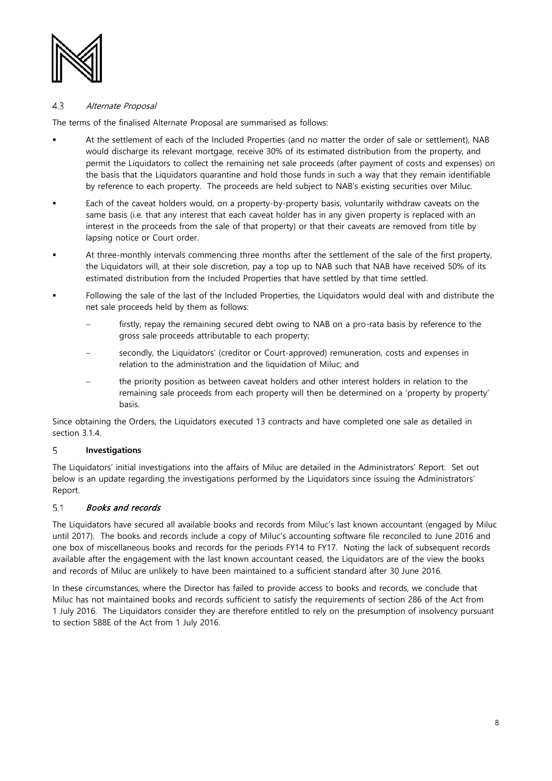

#### <span id="page-7-0"></span> $4.3$ Alternate Proposal

The terms of the finalised Alternate Proposal are summarised as follows:

- At the settlement of each of the Included Properties (and no matter the order of sale or settlement), NAB would discharge its relevant mortgage, receive 30% of its estimated distribution from the property, and permit the Liquidators to collect the remaining net sale proceeds (after payment of costs and expenses) on the basis that the Liquidators quarantine and hold those funds in such a way that they remain identifiable by reference to each property. The proceeds are held subject to NAB's existing securities over Miluc.
- Each of the caveat holders would, on a property-by-property basis, voluntarily withdraw caveats on the same basis (i.e. that any interest that each caveat holder has in any given property is replaced with an interest in the proceeds from the sale of that property) or that their caveats are removed from title by lapsing notice or Court order.
- At three-monthly intervals commencing three months after the settlement of the sale of the first property, the Liquidators will, at their sole discretion, pay a top up to NAB such that NAB have received 50% of its estimated distribution from the Included Properties that have settled by that time settled.
- Following the sale of the last of the Included Properties, the Liquidators would deal with and distribute the net sale proceeds held by them as follows:
	- firstly, repay the remaining secured debt owing to NAB on a pro-rata basis by reference to the gross sale proceeds attributable to each property;
	- secondly, the Liquidators' (creditor or Court-approved) remuneration, costs and expenses in relation to the administration and the liquidation of Miluc; and
	- the priority position as between caveat holders and other interest holders in relation to the remaining sale proceeds from each property will then be determined on a 'property by property' basis.

Since obtaining the Orders, the Liquidators executed 13 contracts and have completed one sale as detailed in section [3.1.4.](#page-2-0) 

### 5 **Investigations**

The Liquidators' initial investigations into the affairs of Miluc are detailed in the Administrators' Report. Set out below is an update regarding the investigations performed by the Liquidators since issuing the Administrators' Report.

### $5.1$ Books and records

The Liquidators have secured all available books and records from Miluc's last known accountant (engaged by Miluc until 2017). The books and records include a copy of Miluc's accounting software file reconciled to June 2016 and one box of miscellaneous books and records for the periods FY14 to FY17. Noting the lack of subsequent records available after the engagement with the last known accountant ceased, the Liquidators are of the view the books and records of Miluc are unlikely to have been maintained to a sufficient standard after 30 June 2016.

In these circumstances, where the Director has failed to provide access to books and records, we conclude that Miluc has not maintained books and records sufficient to satisfy the requirements of section 286 of the Act from 1 July 2016. The Liquidators consider they are therefore entitled to rely on the presumption of insolvency pursuant to section 588E of the Act from 1 July 2016.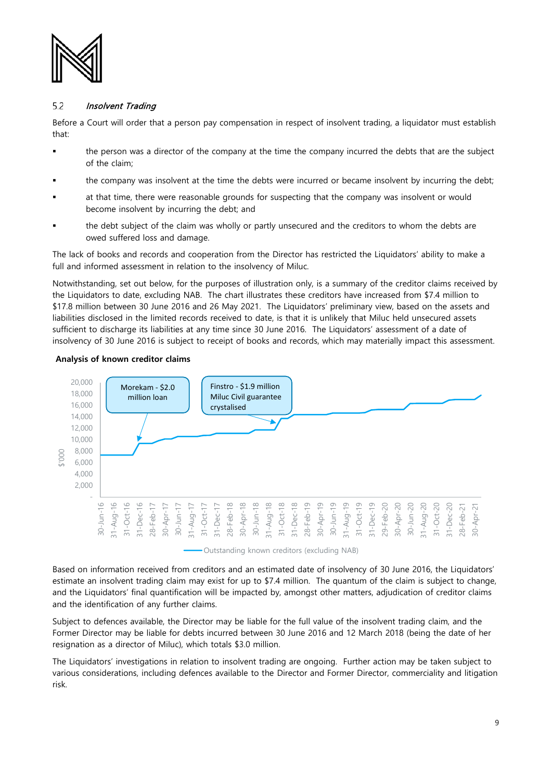

### $5.2$ Insolvent Trading

Before a Court will order that a person pay compensation in respect of insolvent trading, a liquidator must establish that:

- the person was a director of the company at the time the company incurred the debts that are the subject of the claim;
- the company was insolvent at the time the debts were incurred or became insolvent by incurring the debt;
- at that time, there were reasonable grounds for suspecting that the company was insolvent or would become insolvent by incurring the debt; and
- the debt subject of the claim was wholly or partly unsecured and the creditors to whom the debts are owed suffered loss and damage.

The lack of books and records and cooperation from the Director has restricted the Liquidators' ability to make a full and informed assessment in relation to the insolvency of Miluc.

Notwithstanding, set out below, for the purposes of illustration only, is a summary of the creditor claims received by the Liquidators to date, excluding NAB. The chart illustrates these creditors have increased from \$7.4 million to \$17.8 million between 30 June 2016 and 26 May 2021. The Liquidators' preliminary view, based on the assets and liabilities disclosed in the limited records received to date, is that it is unlikely that Miluc held unsecured assets sufficient to discharge its liabilities at any time since 30 June 2016. The Liquidators' assessment of a date of insolvency of 30 June 2016 is subject to receipt of books and records, which may materially impact this assessment.

## **Analysis of known creditor claims**



Outstanding known creditors (excluding NAB)

Based on information received from creditors and an estimated date of insolvency of 30 June 2016, the Liquidators' estimate an insolvent trading claim may exist for up to \$7.4 million. The quantum of the claim is subject to change, and the Liquidators' final quantification will be impacted by, amongst other matters, adjudication of creditor claims and the identification of any further claims.

Subject to defences available, the Director may be liable for the full value of the insolvent trading claim, and the Former Director may be liable for debts incurred between 30 June 2016 and 12 March 2018 (being the date of her resignation as a director of Miluc), which totals \$3.0 million.

The Liquidators' investigations in relation to insolvent trading are ongoing. Further action may be taken subject to various considerations, including defences available to the Director and Former Director, commerciality and litigation risk.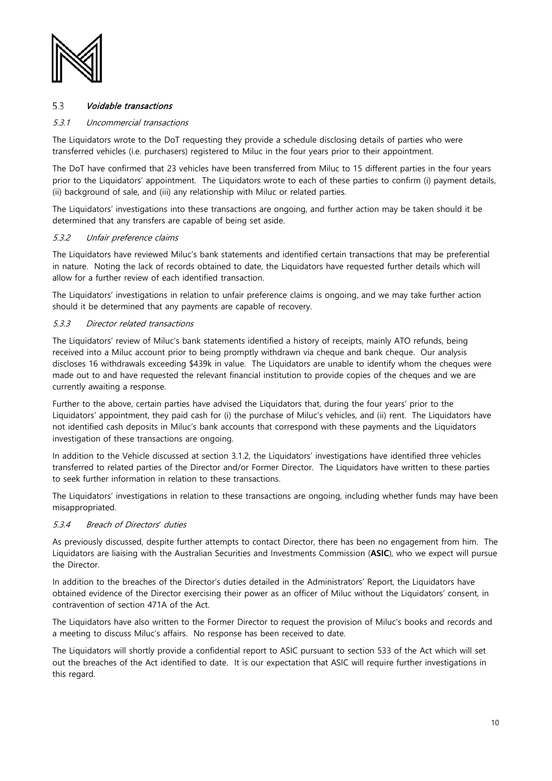

### <span id="page-9-0"></span> $5.3$ Voidable transactions

### 5.3.1 Uncommercial transactions

The Liquidators wrote to the DoT requesting they provide a schedule disclosing details of parties who were transferred vehicles (i.e. purchasers) registered to Miluc in the four years prior to their appointment.

The DoT have confirmed that 23 vehicles have been transferred from Miluc to 15 different parties in the four years prior to the Liquidators' appointment. The Liquidators wrote to each of these parties to confirm (i) payment details, (ii) background of sale, and (iii) any relationship with Miluc or related parties.

The Liquidators' investigations into these transactions are ongoing, and further action may be taken should it be determined that any transfers are capable of being set aside.

### 5.3.2 Unfair preference claims

The Liquidators have reviewed Miluc's bank statements and identified certain transactions that may be preferential in nature. Noting the lack of records obtained to date, the Liquidators have requested further details which will allow for a further review of each identified transaction.

The Liquidators' investigations in relation to unfair preference claims is ongoing, and we may take further action should it be determined that any payments are capable of recovery.

## 5.3.3 Director related transactions

The Liquidators' review of Miluc's bank statements identified a history of receipts, mainly ATO refunds, being received into a Miluc account prior to being promptly withdrawn via cheque and bank cheque. Our analysis discloses 16 withdrawals exceeding \$439k in value. The Liquidators are unable to identify whom the cheques were made out to and have requested the relevant financial institution to provide copies of the cheques and we are currently awaiting a response.

Further to the above, certain parties have advised the Liquidators that, during the four years' prior to the Liquidators' appointment, they paid cash for (i) the purchase of Miluc's vehicles, and (ii) rent. The Liquidators have not identified cash deposits in Miluc's bank accounts that correspond with these payments and the Liquidators investigation of these transactions are ongoing.

In addition to the Vehicle discussed at section [3.1.2,](#page-1-0) the Liquidators' investigations have identified three vehicles transferred to related parties of the Director and/or Former Director. The Liquidators have written to these parties to seek further information in relation to these transactions.

The Liquidators' investigations in relation to these transactions are ongoing, including whether funds may have been misappropriated.

### 5.3.4 Breach of Directors*'* duties

As previously discussed, despite further attempts to contact Director, there has been no engagement from him. The Liquidators are liaising with the Australian Securities and Investments Commission (**ASIC**), who we expect will pursue the Director.

In addition to the breaches of the Director's duties detailed in the Administrators' Report, the Liquidators have obtained evidence of the Director exercising their power as an officer of Miluc without the Liquidators' consent, in contravention of section 471A of the Act.

The Liquidators have also written to the Former Director to request the provision of Miluc's books and records and a meeting to discuss Miluc's affairs. No response has been received to date.

The Liquidators will shortly provide a confidential report to ASIC pursuant to section 533 of the Act which will set out the breaches of the Act identified to date. It is our expectation that ASIC will require further investigations in this regard.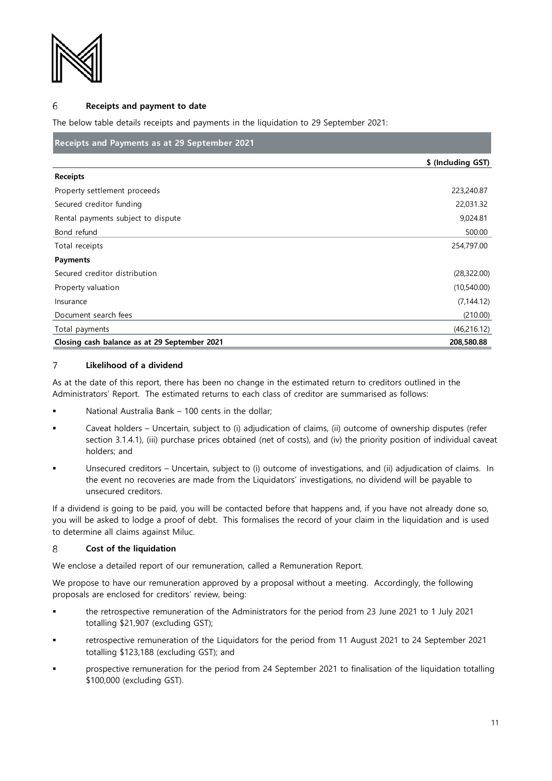

#### **Receipts and payment to date** 6

The below table details receipts and payments in the liquidation to 29 September 2021:

# **Receipts and Payments as at 29 September 2021**

|                                              | \$ (Including GST) |
|----------------------------------------------|--------------------|
| <b>Receipts</b>                              |                    |
| Property settlement proceeds                 | 223,240.87         |
| Secured creditor funding                     | 22,031.32          |
| Rental payments subject to dispute           | 9,024.81           |
| Bond refund                                  | 500.00             |
| Total receipts                               | 254,797.00         |
| <b>Payments</b>                              |                    |
| Secured creditor distribution                | (28, 322.00)       |
| Property valuation                           | (10,540.00)        |
| Insurance                                    | (7, 144.12)        |
| Document search fees                         | (210.00)           |
| Total payments                               | (46,216.12)        |
| Closing cash balance as at 29 September 2021 | 208,580.88         |

### $\overline{7}$ **Likelihood of a dividend**

As at the date of this report, there has been no change in the estimated return to creditors outlined in the Administrators' Report. The estimated returns to each class of creditor are summarised as follows:

- National Australia Bank 100 cents in the dollar;
- Caveat holders Uncertain, subject to (i) adjudication of claims, (ii) outcome of ownership disputes (refer section 3.1.4.1), (iii) purchase prices obtained (net of costs), and (iv) the priority position of individual caveat holders; and
- Unsecured creditors Uncertain, subject to (i) outcome of investigations, and (ii) adjudication of claims. In the event no recoveries are made from the Liquidators' investigations, no dividend will be payable to unsecured creditors.

If a dividend is going to be paid, you will be contacted before that happens and, if you have not already done so, you will be asked to lodge a proof of debt. This formalises the record of your claim in the liquidation and is used to determine all claims against Miluc.

#### 8 **Cost of the liquidation**

We enclose a detailed report of our remuneration, called a Remuneration Report.

We propose to have our remuneration approved by a proposal without a meeting. Accordingly, the following proposals are enclosed for creditors' review, being:

- the retrospective remuneration of the Administrators for the period from 23 June 2021 to 1 July 2021 totalling \$21,907 (excluding GST);
- retrospective remuneration of the Liquidators for the period from 11 August 2021 to 24 September 2021 totalling \$123,188 (excluding GST); and
- prospective remuneration for the period from 24 September 2021 to finalisation of the liquidation totalling \$100,000 (excluding GST).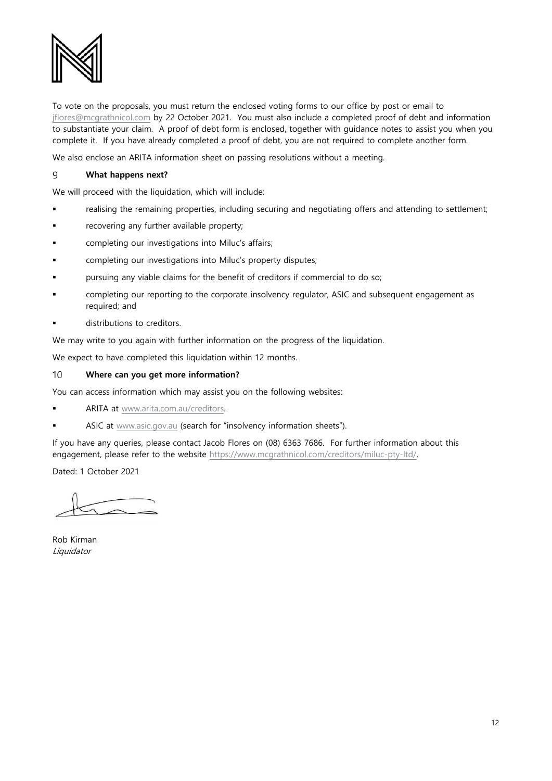

To vote on the proposals, you must return the enclosed voting forms to our office by post or email to [jflores@mcgrathnicol.com](mailto:jflores@mcgrathnicol.com) by 22 October 2021. You must also include a completed proof of debt and information to substantiate your claim. A proof of debt form is enclosed, together with guidance notes to assist you when you complete it. If you have already completed a proof of debt, you are not required to complete another form.

We also enclose an ARITA information sheet on passing resolutions without a meeting.

### 9 **What happens next?**

We will proceed with the liquidation, which will include:

- realising the remaining properties, including securing and negotiating offers and attending to settlement;
- **FX** recovering any further available property;
- completing our investigations into Miluc's affairs;
- completing our investigations into Miluc's property disputes;
- pursuing any viable claims for the benefit of creditors if commercial to do so;
- completing our reporting to the corporate insolvency regulator, ASIC and subsequent engagement as required; and
- distributions to creditors.

We may write to you again with further information on the progress of the liquidation.

We expect to have completed this liquidation within 12 months.

#### 10 **Where can you get more information?**

You can access information which may assist you on the following websites:

ARITA at [www.arita.com.au/creditors.](http://www.arita.com.au/creditors)

**ASIC** at [www.asic.gov.au](http://www.asic.gov.au/) (search for "insolvency information sheets").

If you have any queries, please contact Jacob Flores on (08) 6363 7686. For further information about this engagement, please refer to the website [https://www.mcgrathnicol.com/creditors/miluc-pty-ltd/.](https://www.mcgrathnicol.com/creditors/miluc-pty-ltd/) 

Dated: 1 October 2021

Rob Kirman Liquidator